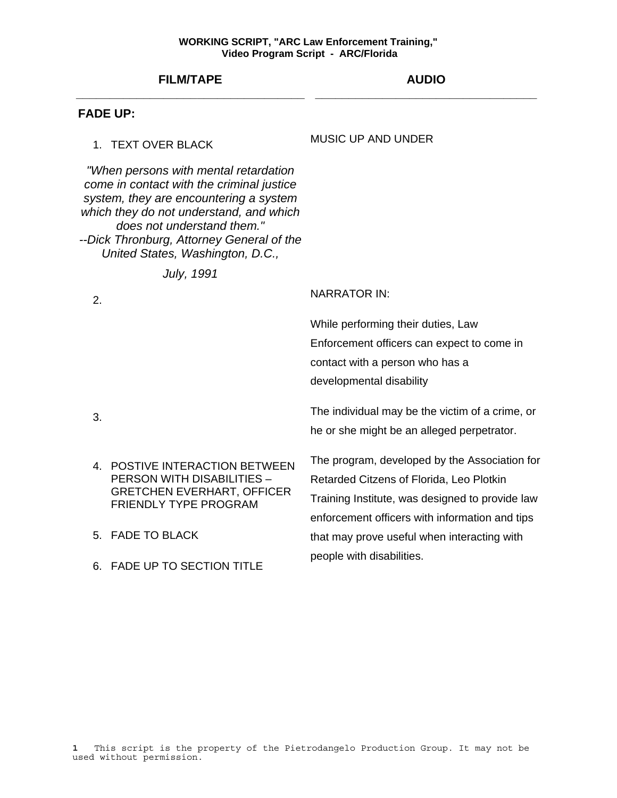# **FILM/TAPE \_\_\_\_\_\_\_\_\_\_\_\_\_\_\_\_\_\_\_\_\_\_\_\_\_\_\_\_\_\_\_\_\_\_**

# **AUDIO \_\_\_\_\_\_\_\_\_\_\_\_\_\_\_\_\_\_\_\_\_\_\_\_\_\_\_\_\_\_\_\_\_**

# **FADE UP:**

# 1. TEXT OVER BLACK

# MUSIC UP AND UNDER

*"When persons with mental retardation come in contact with the criminal justice system, they are encountering a system which they do not understand, and which does not understand them." --Dick Thronburg, Attorney General of the United States, Washington, D.C.,* 

*July, 1991*

2. NARRATOR IN:

While performing their duties, Law Enforcement officers can expect to come in contact with a person who has a developmental disability

3. The individual may be the victim of a crime, or he or she might be an alleged perpetrator.

- 4. POSTIVE INTERACTION BETWEEN PERSON WITH DISABILITIES – GRETCHEN EVERHART, OFFICER FRIENDLY TYPE PROGRAM
- 5. FADE TO BLACK
- 6. FADE UP TO SECTION TITLE

The program, developed by the Association for Retarded Citzens of Florida, Leo Plotkin Training Institute, was designed to provide law enforcement officers with information and tips that may prove useful when interacting with people with disabilities.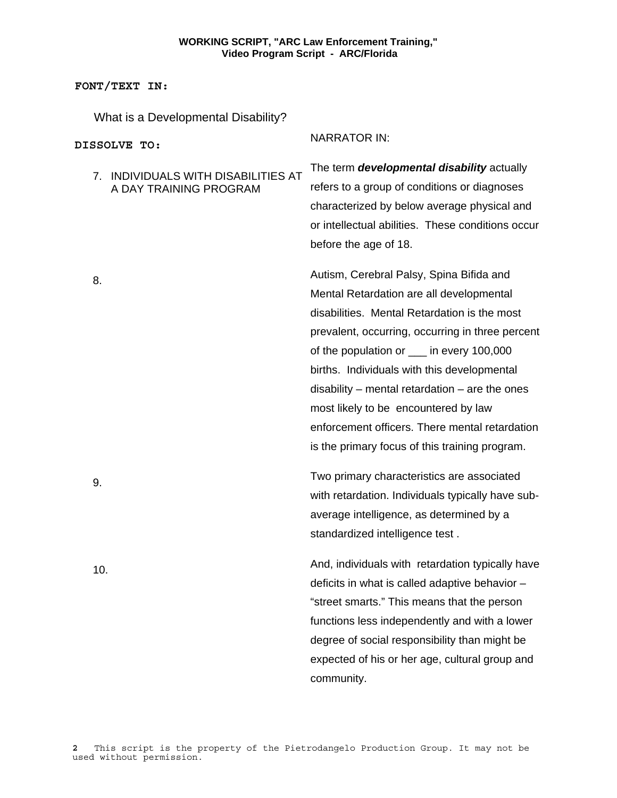**FONT/TEXT IN:**

What is a Developmental Disability?

| DISSOLVE TO:                                                  | <b>NARRATOR IN:</b>                                                                                                                                                                                                                                                                                                                                                                                                                                                                  |
|---------------------------------------------------------------|--------------------------------------------------------------------------------------------------------------------------------------------------------------------------------------------------------------------------------------------------------------------------------------------------------------------------------------------------------------------------------------------------------------------------------------------------------------------------------------|
| 7. INDIVIDUALS WITH DISABILITIES AT<br>A DAY TRAINING PROGRAM | The term developmental disability actually<br>refers to a group of conditions or diagnoses<br>characterized by below average physical and<br>or intellectual abilities. These conditions occur<br>before the age of 18.                                                                                                                                                                                                                                                              |
| 8.                                                            | Autism, Cerebral Palsy, Spina Bifida and<br>Mental Retardation are all developmental<br>disabilities. Mental Retardation is the most<br>prevalent, occurring, occurring in three percent<br>of the population or ___ in every 100,000<br>births. Individuals with this developmental<br>$disability$ – mental retardation – are the ones<br>most likely to be encountered by law<br>enforcement officers. There mental retardation<br>is the primary focus of this training program. |
| 9.                                                            | Two primary characteristics are associated<br>with retardation. Individuals typically have sub-<br>average intelligence, as determined by a<br>standardized intelligence test.                                                                                                                                                                                                                                                                                                       |
| 10.                                                           | And, individuals with retardation typically have<br>deficits in what is called adaptive behavior -<br>"street smarts." This means that the person<br>functions less independently and with a lower<br>degree of social responsibility than might be<br>expected of his or her age, cultural group and<br>community.                                                                                                                                                                  |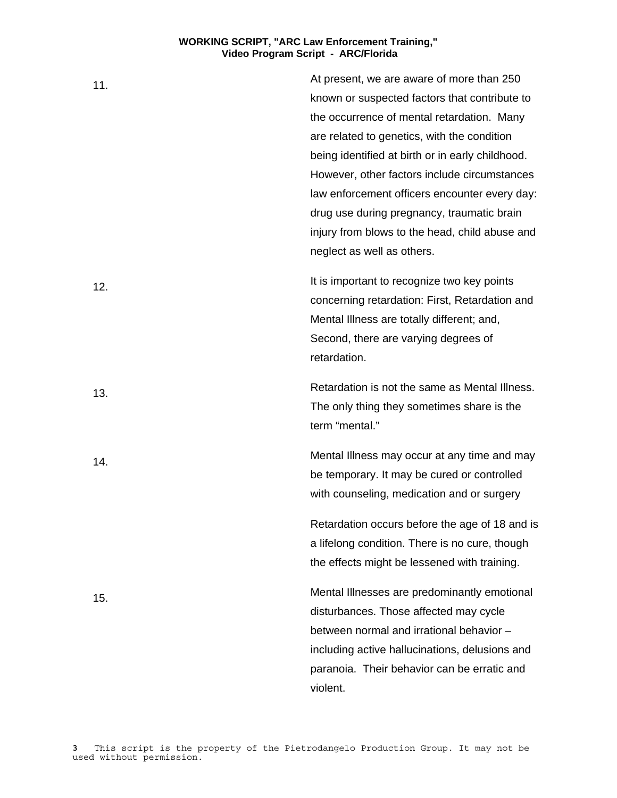| 11. | At present, we are aware of more than 250        |
|-----|--------------------------------------------------|
|     | known or suspected factors that contribute to    |
|     | the occurrence of mental retardation. Many       |
|     | are related to genetics, with the condition      |
|     | being identified at birth or in early childhood. |
|     | However, other factors include circumstances     |
|     | law enforcement officers encounter every day:    |
|     | drug use during pregnancy, traumatic brain       |
|     | injury from blows to the head, child abuse and   |
|     | neglect as well as others.                       |
| 12. | It is important to recognize two key points      |
|     | concerning retardation: First, Retardation and   |
|     | Mental Illness are totally different; and,       |
|     | Second, there are varying degrees of             |
|     | retardation.                                     |
| 13. | Retardation is not the same as Mental Illness.   |
|     | The only thing they sometimes share is the       |
|     | term "mental."                                   |
| 14. | Mental Illness may occur at any time and may     |
|     | be temporary. It may be cured or controlled      |
|     | with counseling, medication and or surgery       |
|     | Retardation occurs before the age of 18 and is   |
|     | a lifelong condition. There is no cure, though   |
|     | the effects might be lessened with training.     |
| 15. | Mental Illnesses are predominantly emotional     |
|     | disturbances. Those affected may cycle           |
|     | between normal and irrational behavior -         |
|     | including active hallucinations, delusions and   |
|     | paranoia. Their behavior can be erratic and      |
|     | violent.                                         |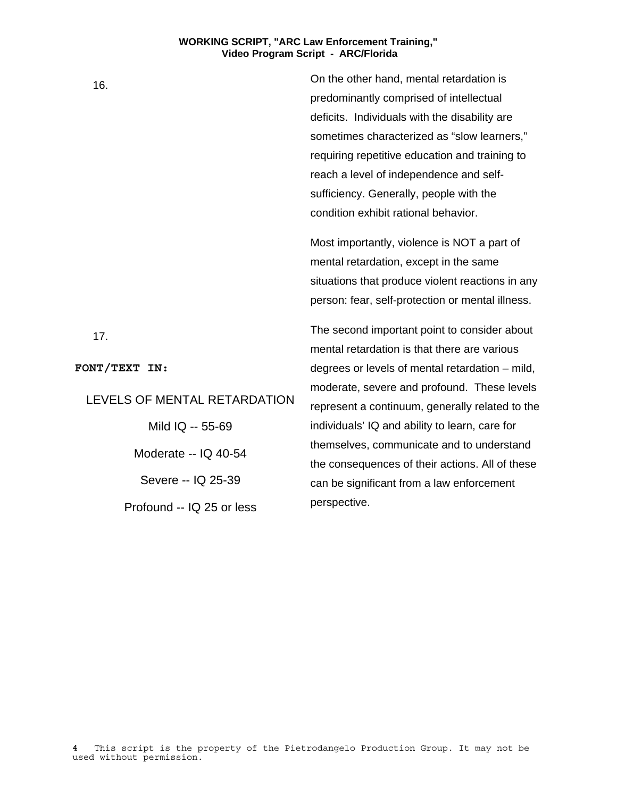16. On the other hand, mental retardation is predominantly comprised of intellectual deficits. Individuals with the disability are sometimes characterized as "slow learners," requiring repetitive education and training to reach a level of independence and selfsufficiency. Generally, people with the condition exhibit rational behavior.

> Most importantly, violence is NOT a part of mental retardation, except in the same situations that produce violent reactions in any person: fear, self-protection or mental illness.

> The second important point to consider about mental retardation is that there are various degrees or levels of mental retardation – mild, moderate, severe and profound. These levels represent a continuum, generally related to the individuals' IQ and ability to learn, care for themselves, communicate and to understand the consequences of their actions. All of these can be significant from a law enforcement perspective.

**4** This script is the property of the Pietrodangelo Production Group. It may not be used without permission.

17.

**FONT/TEXT IN:**

LEVELS OF MENTAL RETARDATION

Mild IQ -- 55-69 Moderate -- IQ 40-54 Severe -- IQ 25-39

Profound -- IQ 25 or less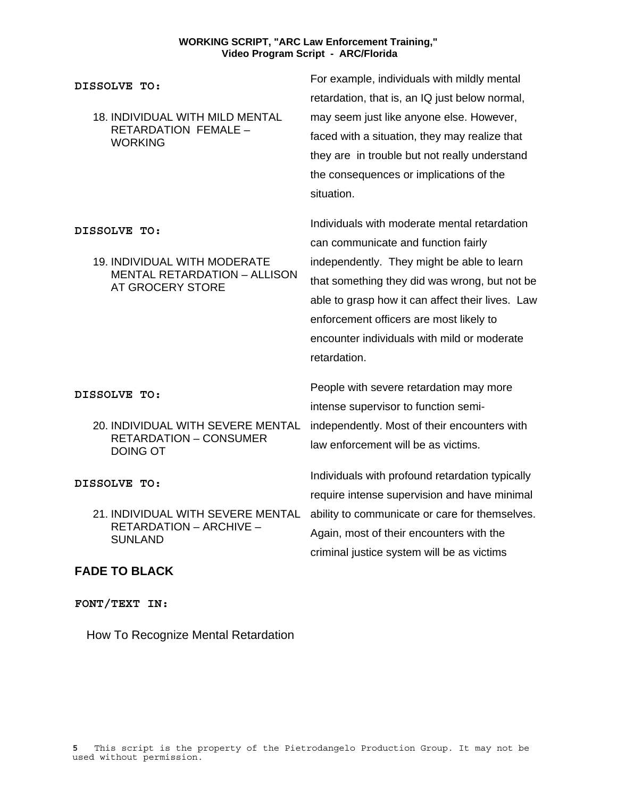| DISSOLVE TO:                                                                                                   | For example, individuals with mildly mental<br>retardation, that is, an IQ just below normal,                                                                                                                                                                                                                                                    |
|----------------------------------------------------------------------------------------------------------------|--------------------------------------------------------------------------------------------------------------------------------------------------------------------------------------------------------------------------------------------------------------------------------------------------------------------------------------------------|
| <b>18. INDIVIDUAL WITH MILD MENTAL</b><br>RETARDATION FEMALE -<br><b>WORKING</b>                               | may seem just like anyone else. However,<br>faced with a situation, they may realize that<br>they are in trouble but not really understand<br>the consequences or implications of the<br>situation.                                                                                                                                              |
| DISSOLVE TO:<br><b>19. INDIVIDUAL WITH MODERATE</b><br><b>MENTAL RETARDATION - ALLISON</b><br>AT GROCERY STORE | Individuals with moderate mental retardation<br>can communicate and function fairly<br>independently. They might be able to learn<br>that something they did was wrong, but not be<br>able to grasp how it can affect their lives. Law<br>enforcement officers are most likely to<br>encounter individuals with mild or moderate<br>retardation. |
| DISSOLVE TO:<br>20. INDIVIDUAL WITH SEVERE MENTAL<br><b>RETARDATION - CONSUMER</b><br><b>DOING OT</b>          | People with severe retardation may more<br>intense supervisor to function semi-<br>independently. Most of their encounters with<br>law enforcement will be as victims.                                                                                                                                                                           |
| DISSOLVE TO:                                                                                                   | Individuals with profound retardation typically                                                                                                                                                                                                                                                                                                  |

RETARDATION – ARCHIVE – **SUNLAND** 

# **FADE TO BLACK**

**FONT/TEXT IN:**

How To Recognize Mental Retardation

21. INDIVIDUAL WITH SEVERE MENTAL ability to communicate or care for themselves. require intense supervision and have minimal Again, most of their encounters with the criminal justice system will be as victims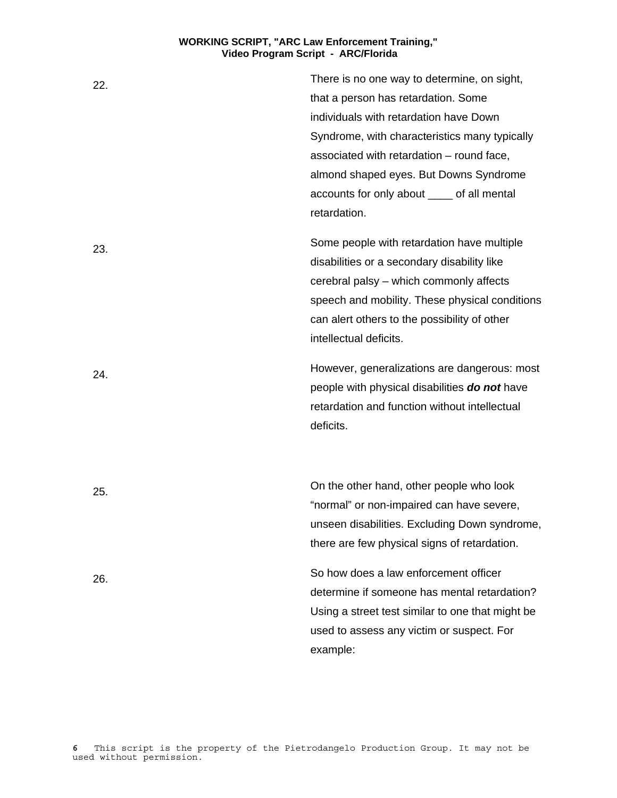22. There is no one way to determine, on sight, that a person has retardation. Some individuals with retardation have Down Syndrome, with characteristics many typically associated with retardation – round face, almond shaped eyes. But Downs Syndrome accounts for only about \_\_\_\_ of all mental retardation. 23. Some people with retardation have multiple disabilities or a secondary disability like cerebral palsy – which commonly affects speech and mobility. These physical conditions can alert others to the possibility of other intellectual deficits. 24. However, generalizations are dangerous: most people with physical disabilities *do not* have retardation and function without intellectual deficits. 25. On the other hand, other people who look "normal" or non-impaired can have severe, unseen disabilities. Excluding Down syndrome, there are few physical signs of retardation. 26. So how does a law enforcement officer determine if someone has mental retardation? Using a street test similar to one that might be used to assess any victim or suspect. For example: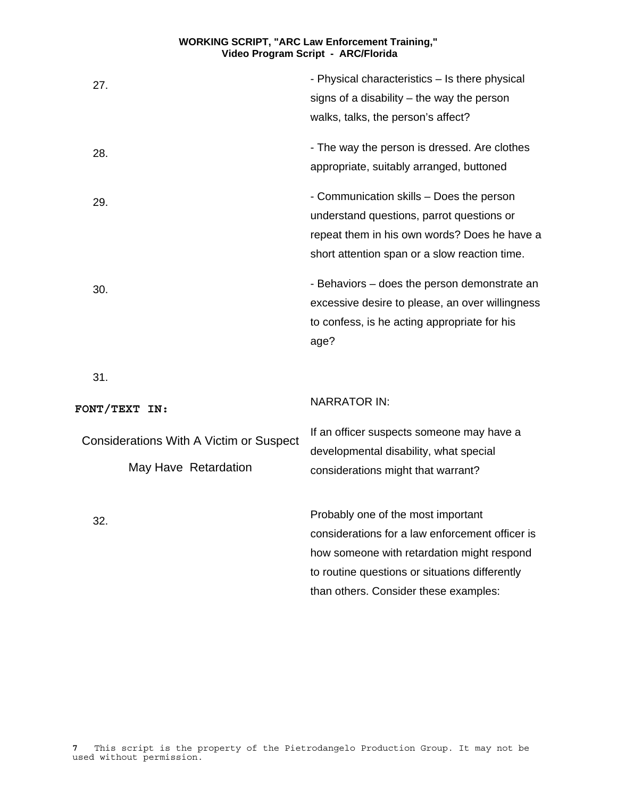| 27.                                                             | - Physical characteristics - Is there physical<br>signs of a disability $-$ the way the person<br>walks, talks, the person's affect?                                                                                           |
|-----------------------------------------------------------------|--------------------------------------------------------------------------------------------------------------------------------------------------------------------------------------------------------------------------------|
| 28.                                                             | - The way the person is dressed. Are clothes<br>appropriate, suitably arranged, buttoned                                                                                                                                       |
| 29.                                                             | - Communication skills - Does the person<br>understand questions, parrot questions or<br>repeat them in his own words? Does he have a<br>short attention span or a slow reaction time.                                         |
| 30.                                                             | - Behaviors - does the person demonstrate an<br>excessive desire to please, an over willingness<br>to confess, is he acting appropriate for his<br>age?                                                                        |
| 31.                                                             |                                                                                                                                                                                                                                |
| FONT/TEXT IN:                                                   | <b>NARRATOR IN:</b>                                                                                                                                                                                                            |
| Considerations With A Victim or Suspect<br>May Have Retardation | If an officer suspects someone may have a<br>developmental disability, what special<br>considerations might that warrant?                                                                                                      |
| 32.                                                             | Probably one of the most important<br>considerations for a law enforcement officer is<br>how someone with retardation might respond<br>to routine questions or situations differently<br>than others. Consider these examples: |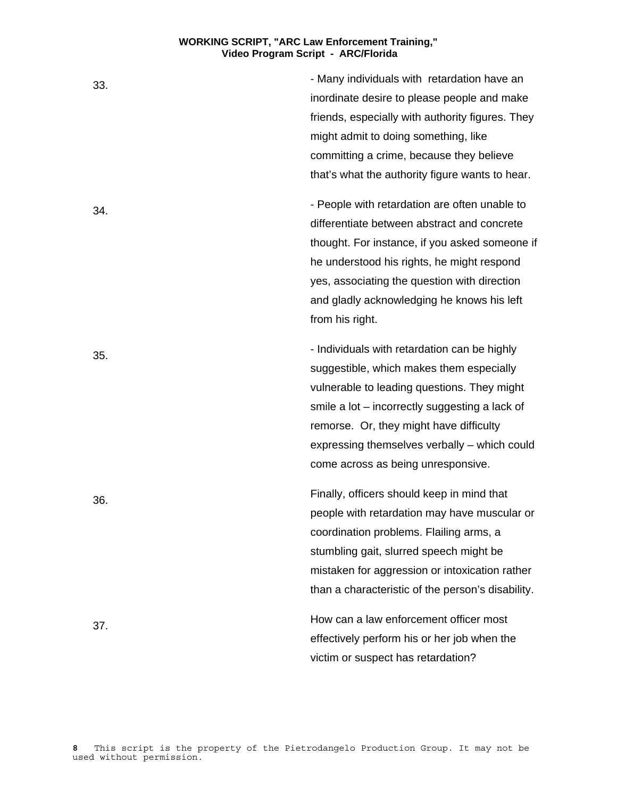33. - Many individuals with retardation have an inordinate desire to please people and make friends, especially with authority figures. They might admit to doing something, like committing a crime, because they believe that's what the authority figure wants to hear. 34. differentiate between abstract and concrete thought. For instance, if you asked someone if he understood his rights, he might respond yes, associating the question with direction and gladly acknowledging he knows his left from his right. 35. - Individuals with retardation can be highly suggestible, which makes them especially vulnerable to leading questions. They might smile a lot – incorrectly suggesting a lack of remorse. Or, they might have difficulty expressing themselves verbally – which could come across as being unresponsive. 36. Finally, officers should keep in mind that people with retardation may have muscular or coordination problems. Flailing arms, a stumbling gait, slurred speech might be mistaken for aggression or intoxication rather than a characteristic of the person's disability. 37. How can a law enforcement officer most effectively perform his or her job when the

victim or suspect has retardation?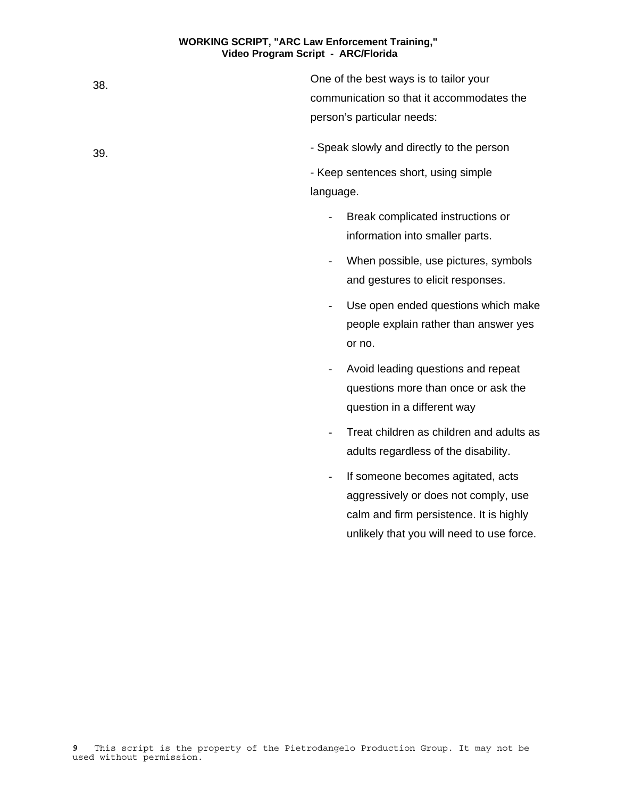38. One of the best ways is to tailor your communication so that it accommodates the person's particular needs:

39. - Speak slowly and directly to the person

- Keep sentences short, using simple language.

- Break complicated instructions or information into smaller parts.
- When possible, use pictures, symbols and gestures to elicit responses.
- Use open ended questions which make people explain rather than answer yes or no.
- Avoid leading questions and repeat questions more than once or ask the question in a different way
- Treat children as children and adults as adults regardless of the disability.
- If someone becomes agitated, acts aggressively or does not comply, use calm and firm persistence. It is highly unlikely that you will need to use force.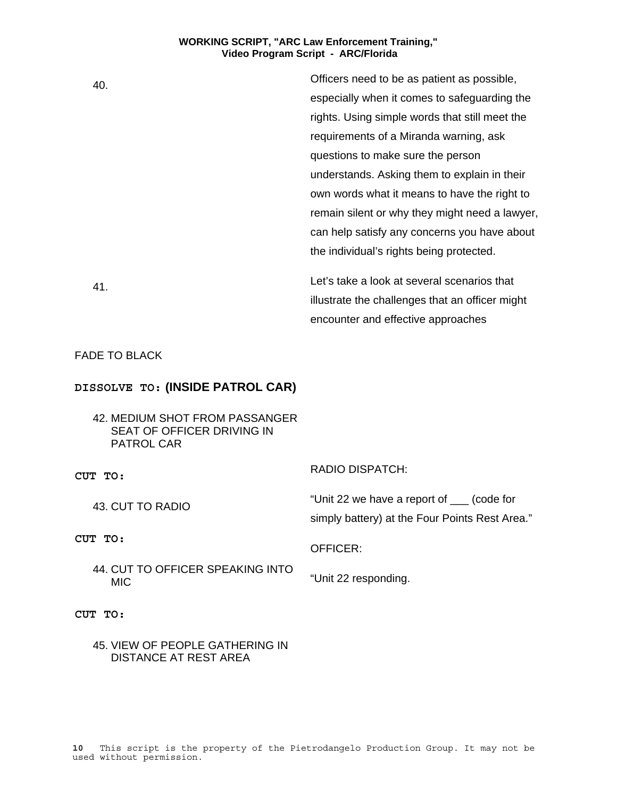| 40. | Officers need to be as patient as possible,     |
|-----|-------------------------------------------------|
|     | especially when it comes to safeguarding the    |
|     | rights. Using simple words that still meet the  |
|     | requirements of a Miranda warning, ask          |
|     | questions to make sure the person               |
|     | understands. Asking them to explain in their    |
|     | own words what it means to have the right to    |
|     | remain silent or why they might need a lawyer,  |
|     | can help satisfy any concerns you have about    |
|     | the individual's rights being protected.        |
| 41. | Let's take a look at several scenarios that     |
|     | illustrate the challenges that an officer might |

FADE TO BLACK

# **DISSOLVE TO: (INSIDE PATROL CAR)**

42. MEDIUM SHOT FROM PASSANGER SEAT OF OFFICER DRIVING IN PATROL CAR

**CUT TO:** 

43. CUT TO RADIO

RADIO DISPATCH:

"Unit 22 we have a report of \_\_\_ (code for simply battery) at the Four Points Rest Area."

encounter and effective approaches

# **CUT TO:**

44. CUT TO OFFICER SPEAKING INTO

"Unit 22 responding.

OFFICER:

**CUT TO:** 

MIC

45. VIEW OF PEOPLE GATHERING IN DISTANCE AT REST AREA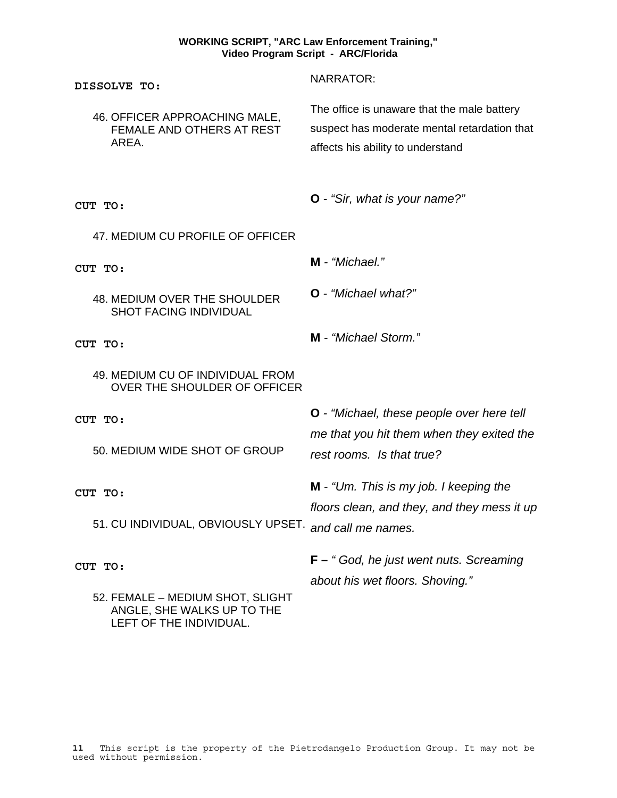| DISSOLVE TO:                                                                              | <b>NARRATOR:</b>                                                                                                                 |
|-------------------------------------------------------------------------------------------|----------------------------------------------------------------------------------------------------------------------------------|
| 46. OFFICER APPROACHING MALE,<br>FEMALE AND OTHERS AT REST<br>AREA.                       | The office is unaware that the male battery<br>suspect has moderate mental retardation that<br>affects his ability to understand |
| CUT TO:                                                                                   | O - "Sir, what is your name?"                                                                                                    |
| 47. MEDIUM CU PROFILE OF OFFICER                                                          |                                                                                                                                  |
| CUT TO:                                                                                   | M - "Michael."                                                                                                                   |
| <b>48. MEDIUM OVER THE SHOULDER</b><br><b>SHOT FACING INDIVIDUAL</b>                      | O - "Michael what?"                                                                                                              |
| CUT TO:                                                                                   | M - "Michael Storm."                                                                                                             |
| 49. MEDIUM CU OF INDIVIDUAL FROM<br>OVER THE SHOULDER OF OFFICER                          |                                                                                                                                  |
| CUT TO:                                                                                   | <b>O</b> - "Michael, these people over here tell                                                                                 |
| 50. MEDIUM WIDE SHOT OF GROUP                                                             | me that you hit them when they exited the<br>rest rooms. Is that true?                                                           |
| CUT TO:                                                                                   | <b>M</b> - "Um. This is my job. I keeping the                                                                                    |
| 51. CU INDIVIDUAL, OBVIOUSLY UPSET.                                                       | floors clean, and they, and they mess it up<br>and call me names.                                                                |
| CUT TO:                                                                                   | $F -$ "God, he just went nuts. Screaming<br>about his wet floors. Shoving."                                                      |
| 52. FEMALE - MEDIUM SHOT, SLIGHT<br>ANGLE, SHE WALKS UP TO THE<br>LEFT OF THE INDIVIDUAL. |                                                                                                                                  |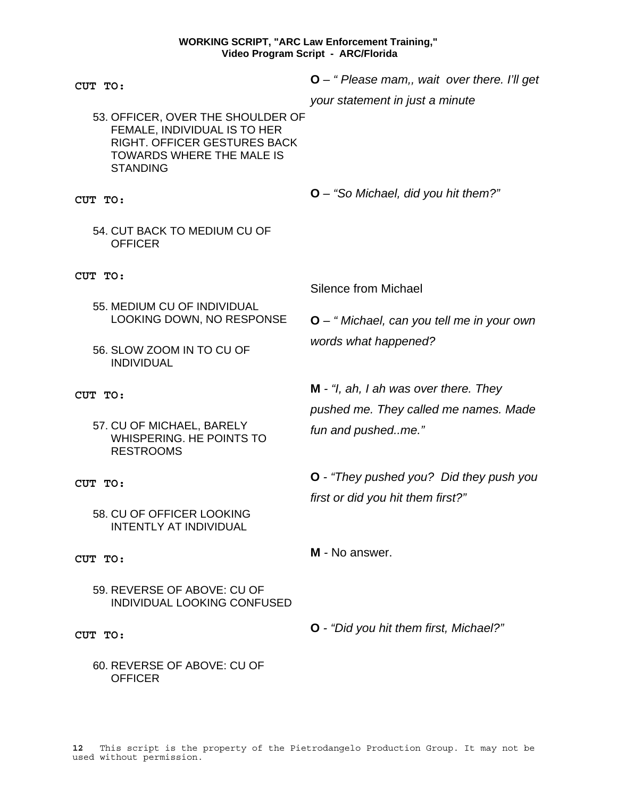| CUT TO:                                                                                                                                                         | $O -$ "Please mam,, wait over there. I'll get               |
|-----------------------------------------------------------------------------------------------------------------------------------------------------------------|-------------------------------------------------------------|
| 53. OFFICER, OVER THE SHOULDER OF<br>FEMALE, INDIVIDUAL IS TO HER<br><b>RIGHT. OFFICER GESTURES BACK</b><br><b>TOWARDS WHERE THE MALE IS</b><br><b>STANDING</b> | your statement in just a minute                             |
| CUT TO:                                                                                                                                                         | O - "So Michael, did you hit them?"                         |
| 54. CUT BACK TO MEDIUM CU OF<br><b>OFFICER</b>                                                                                                                  |                                                             |
| CUT TO:                                                                                                                                                         | Silence from Michael                                        |
| 55. MEDIUM CU OF INDIVIDUAL<br>LOOKING DOWN, NO RESPONSE                                                                                                        | $Q -$ " Michael, can you tell me in your own                |
| 56. SLOW ZOOM IN TO CU OF<br><b>INDIVIDUAL</b>                                                                                                                  | words what happened?                                        |
| CUT TO:                                                                                                                                                         | $M - f$ , ah, I ah was over there. They                     |
| 57. CU OF MICHAEL, BARELY<br>WHISPERING. HE POINTS TO<br><b>RESTROOMS</b>                                                                                       | pushed me. They called me names. Made<br>fun and pushedme." |
| CUT TO:                                                                                                                                                         | <b>O</b> - "They pushed you? Did they push you              |
| 58. CU OF OFFICER LOOKING<br><b>INTENTLY AT INDIVIDUAL</b>                                                                                                      | first or did you hit them first?"                           |
| CUT TO:                                                                                                                                                         | M - No answer.                                              |
| 59. REVERSE OF ABOVE: CU OF<br><b>INDIVIDUAL LOOKING CONFUSED</b>                                                                                               |                                                             |
| $ATTm$ $mc$                                                                                                                                                     | O - "Did you hit them first, Michael?"                      |

**CUT TO:** 

60. REVERSE OF ABOVE: CU OF **OFFICER**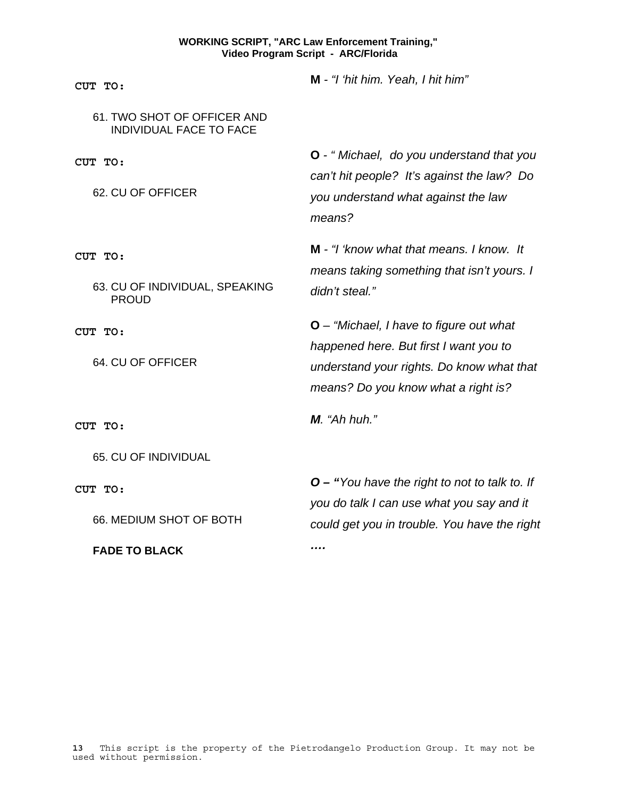| CUT TO:                                                       | M - "I 'hit him. Yeah, I hit him"                                                                                                                                       |
|---------------------------------------------------------------|-------------------------------------------------------------------------------------------------------------------------------------------------------------------------|
| 61. TWO SHOT OF OFFICER AND<br><b>INDIVIDUAL FACE TO FACE</b> |                                                                                                                                                                         |
| CUT TO:<br>62. CU OF OFFICER                                  | O - "Michael, do you understand that you<br>can't hit people? It's against the law? Do<br>you understand what against the law<br>means?                                 |
| CUT TO:<br>63. CU OF INDIVIDUAL, SPEAKING<br><b>PROUD</b>     | M - "I 'know what that means. I know. It<br>means taking something that isn't yours. I<br>didn't steal."                                                                |
| CUT TO:<br>64. CU OF OFFICER                                  | $O -$ "Michael, I have to figure out what<br>happened here. But first I want you to<br>understand your rights. Do know what that<br>means? Do you know what a right is? |
| CUT TO:                                                       | $M.$ "Ah huh."                                                                                                                                                          |
| 65. CU OF INDIVIDUAL                                          |                                                                                                                                                                         |
| CUT TO:<br>66. MEDIUM SHOT OF BOTH                            | $O -$ "You have the right to not to talk to. If<br>you do talk I can use what you say and it<br>could get you in trouble. You have the right                            |

**FADE TO BLACK** 

*….*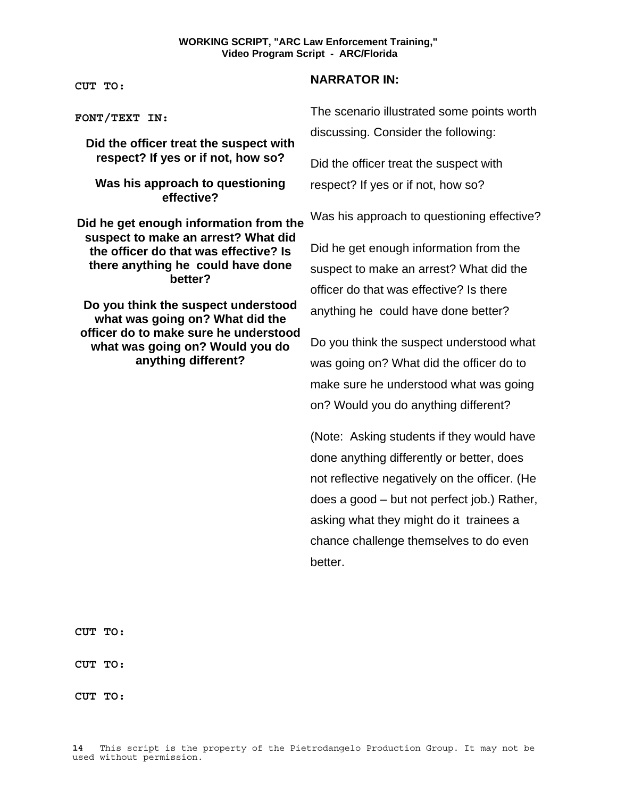**CUT TO:** 

**FONT/TEXT IN:**

**Did the officer treat the suspect with respect? If yes or if not, how so?** 

**Was his approach to questioning effective?** 

**Did he get enough information from the suspect to make an arrest? What did the officer do that was effective? Is there anything he could have done better?** 

**Do you think the suspect understood what was going on? What did the officer do to make sure he understood what was going on? Would you do anything different?**

# **NARRATOR IN:**

The scenario illustrated some points worth discussing. Consider the following:

Did the officer treat the suspect with respect? If yes or if not, how so?

Was his approach to questioning effective?

Did he get enough information from the suspect to make an arrest? What did the officer do that was effective? Is there anything he could have done better?

Do you think the suspect understood what was going on? What did the officer do to make sure he understood what was going on? Would you do anything different?

(Note: Asking students if they would have done anything differently or better, does not reflective negatively on the officer. (He does a good – but not perfect job.) Rather, asking what they might do it trainees a chance challenge themselves to do even better.

**CUT TO:** 

**CUT TO:** 

**CUT TO:**